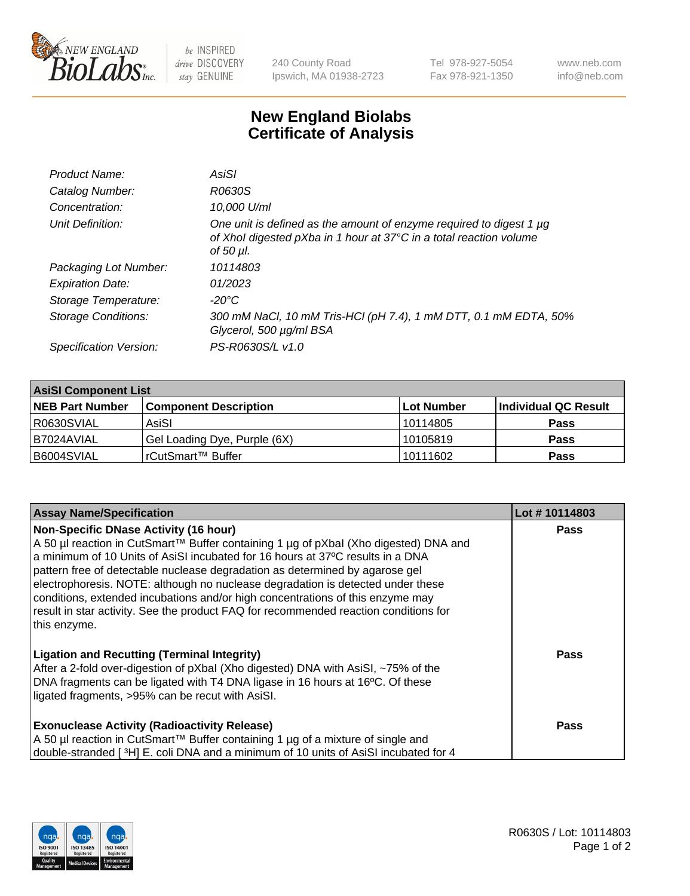

 $be$  INSPIRED drive DISCOVERY stay GENUINE

240 County Road Ipswich, MA 01938-2723 Tel 978-927-5054 Fax 978-921-1350 www.neb.com info@neb.com

## **New England Biolabs Certificate of Analysis**

| Product Name:              | AsiSI                                                                                                                                                  |
|----------------------------|--------------------------------------------------------------------------------------------------------------------------------------------------------|
| Catalog Number:            | R0630S                                                                                                                                                 |
| Concentration:             | 10,000 U/ml                                                                                                                                            |
| Unit Definition:           | One unit is defined as the amount of enzyme required to digest 1 µg<br>of Xhol digested pXba in 1 hour at 37°C in a total reaction volume<br>of 50 µl. |
| Packaging Lot Number:      | 10114803                                                                                                                                               |
| <b>Expiration Date:</b>    | 01/2023                                                                                                                                                |
| Storage Temperature:       | -20°C                                                                                                                                                  |
| <b>Storage Conditions:</b> | 300 mM NaCl, 10 mM Tris-HCl (pH 7.4), 1 mM DTT, 0.1 mM EDTA, 50%<br>Glycerol, 500 µg/ml BSA                                                            |
| Specification Version:     | PS-R0630S/L v1.0                                                                                                                                       |
|                            |                                                                                                                                                        |

| <b>AsiSI Component List</b> |                              |            |                      |  |  |
|-----------------------------|------------------------------|------------|----------------------|--|--|
| <b>NEB Part Number</b>      | <b>Component Description</b> | Lot Number | Individual QC Result |  |  |
| R0630SVIAL                  | AsiSI                        | l 10114805 | <b>Pass</b>          |  |  |
| I B7024AVIAL                | Gel Loading Dye, Purple (6X) | 10105819   | <b>Pass</b>          |  |  |
| B6004SVIAL                  | l rCutSmart™ Buffer_         | 10111602   | <b>Pass</b>          |  |  |

| <b>Assay Name/Specification</b>                                                                                                                                                                                                                                                                                                                                                                                                                                                                                                                                                     | Lot #10114803 |
|-------------------------------------------------------------------------------------------------------------------------------------------------------------------------------------------------------------------------------------------------------------------------------------------------------------------------------------------------------------------------------------------------------------------------------------------------------------------------------------------------------------------------------------------------------------------------------------|---------------|
| <b>Non-Specific DNase Activity (16 hour)</b><br>A 50 µl reaction in CutSmart™ Buffer containing 1 µg of pXbal (Xho digested) DNA and<br>a minimum of 10 Units of AsiSI incubated for 16 hours at 37°C results in a DNA<br>pattern free of detectable nuclease degradation as determined by agarose gel<br>electrophoresis. NOTE: although no nuclease degradation is detected under these<br>conditions, extended incubations and/or high concentrations of this enzyme may<br>result in star activity. See the product FAQ for recommended reaction conditions for<br>this enzyme. | <b>Pass</b>   |
| <b>Ligation and Recutting (Terminal Integrity)</b><br>After a 2-fold over-digestion of pXbal (Xho digested) DNA with AsiSI, ~75% of the<br>DNA fragments can be ligated with T4 DNA ligase in 16 hours at 16°C. Of these<br>ligated fragments, >95% can be recut with AsiSI.                                                                                                                                                                                                                                                                                                        | Pass          |
| <b>Exonuclease Activity (Radioactivity Release)</b><br>A 50 µl reaction in CutSmart™ Buffer containing 1 µg of a mixture of single and<br>double-stranded [3H] E. coli DNA and a minimum of 10 units of AsiSI incubated for 4                                                                                                                                                                                                                                                                                                                                                       | Pass          |